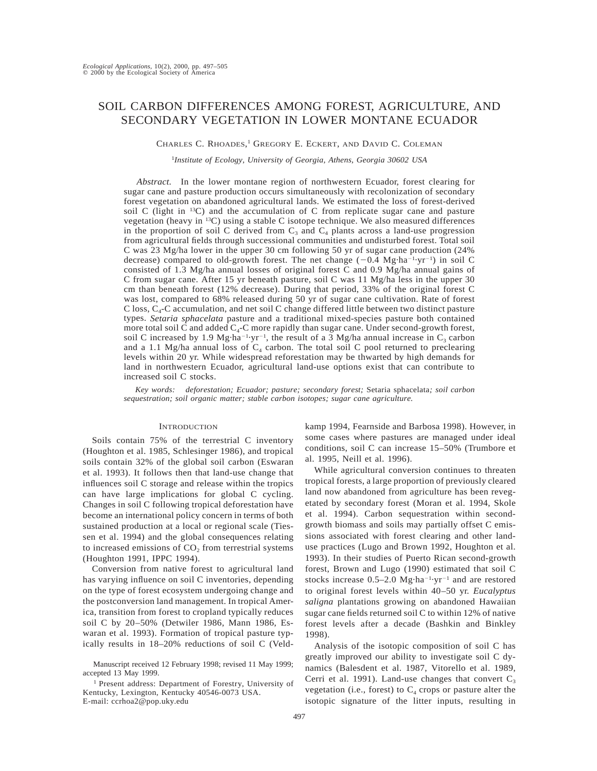# SOIL CARBON DIFFERENCES AMONG FOREST, AGRICULTURE, AND SECONDARY VEGETATION IN LOWER MONTANE ECUADOR

CHARLES C. RHOADES, <sup>1</sup> GREGORY E. ECKERT, AND DAVID C. COLEMAN

1 *Institute of Ecology, University of Georgia, Athens, Georgia 30602 USA*

*Abstract.* In the lower montane region of northwestern Ecuador, forest clearing for sugar cane and pasture production occurs simultaneously with recolonization of secondary forest vegetation on abandoned agricultural lands. We estimated the loss of forest-derived soil C (light in  $^{13}$ C) and the accumulation of C from replicate sugar cane and pasture vegetation (heavy in 13C) using a stable C isotope technique. We also measured differences in the proportion of soil C derived from  $C_3$  and  $C_4$  plants across a land-use progression from agricultural fields through successional communities and undisturbed forest. Total soil C was 23 Mg/ha lower in the upper 30 cm following 50 yr of sugar cane production (24% decrease) compared to old-growth forest. The net change  $(-0.4 \text{ Mg} \cdot \text{ha}^{-1} \cdot \text{yr}^{-1})$  in soil C consisted of 1.3 Mg/ha annual losses of original forest C and 0.9 Mg/ha annual gains of C from sugar cane. After 15 yr beneath pasture, soil C was 11 Mg/ha less in the upper 30 cm than beneath forest (12% decrease). During that period, 33% of the original forest C was lost, compared to 68% released during 50 yr of sugar cane cultivation. Rate of forest C loss,  $C_4$ -C accumulation, and net soil C change differed little between two distinct pasture types. *Setaria sphacelata* pasture and a traditional mixed-species pasture both contained more total soil C and added  $C_4$ -C more rapidly than sugar cane. Under second-growth forest, soil C increased by 1.9 Mg·ha<sup>-1</sup>·yr<sup>-1</sup>, the result of a 3 Mg/ha annual increase in  $C_3$  carbon and a 1.1 Mg/ha annual loss of  $C_4$  carbon. The total soil C pool returned to preclearing levels within 20 yr. While widespread reforestation may be thwarted by high demands for land in northwestern Ecuador, agricultural land-use options exist that can contribute to increased soil C stocks.

*Key words: deforestation; Ecuador; pasture; secondary forest;* Setaria sphacelata*; soil carbon sequestration; soil organic matter; stable carbon isotopes; sugar cane agriculture.*

# **INTRODUCTION**

Soils contain 75% of the terrestrial C inventory (Houghton et al. 1985, Schlesinger 1986), and tropical soils contain 32% of the global soil carbon (Eswaran et al. 1993). It follows then that land-use change that influences soil C storage and release within the tropics can have large implications for global C cycling. Changes in soil C following tropical deforestation have become an international policy concern in terms of both sustained production at a local or regional scale (Tiessen et al. 1994) and the global consequences relating to increased emissions of  $CO<sub>2</sub>$  from terrestrial systems (Houghton 1991, IPPC 1994).

Conversion from native forest to agricultural land has varying influence on soil C inventories, depending on the type of forest ecosystem undergoing change and the postconversion land management. In tropical America, transition from forest to cropland typically reduces soil C by 20–50% (Detwiler 1986, Mann 1986, Eswaran et al. 1993). Formation of tropical pasture typically results in 18–20% reductions of soil C (Veldkamp 1994, Fearnside and Barbosa 1998). However, in some cases where pastures are managed under ideal conditions, soil C can increase 15–50% (Trumbore et al. 1995, Neill et al. 1996).

While agricultural conversion continues to threaten tropical forests, a large proportion of previously cleared land now abandoned from agriculture has been revegetated by secondary forest (Moran et al. 1994, Skole et al. 1994). Carbon sequestration within secondgrowth biomass and soils may partially offset C emissions associated with forest clearing and other landuse practices (Lugo and Brown 1992, Houghton et al. 1993). In their studies of Puerto Rican second-growth forest, Brown and Lugo (1990) estimated that soil C stocks increase  $0.5-2.0 \text{ Mg} \cdot \text{ha}^{-1} \cdot \text{yr}^{-1}$  and are restored to original forest levels within 40–50 yr. *Eucalyptus saligna* plantations growing on abandoned Hawaiian sugar cane fields returned soil C to within 12% of native forest levels after a decade (Bashkin and Binkley 1998).

Analysis of the isotopic composition of soil C has greatly improved our ability to investigate soil C dynamics (Balesdent et al. 1987, Vitorello et al. 1989, Cerri et al. 1991). Land-use changes that convert  $C_3$ vegetation (i.e., forest) to  $C_4$  crops or pasture alter the isotopic signature of the litter inputs, resulting in

Manuscript received 12 February 1998; revised 11 May 1999; accepted 13 May 1999.

<sup>1</sup> Present address: Department of Forestry, University of Kentucky, Lexington, Kentucky 40546-0073 USA. E-mail: ccrhoa2@pop.uky.edu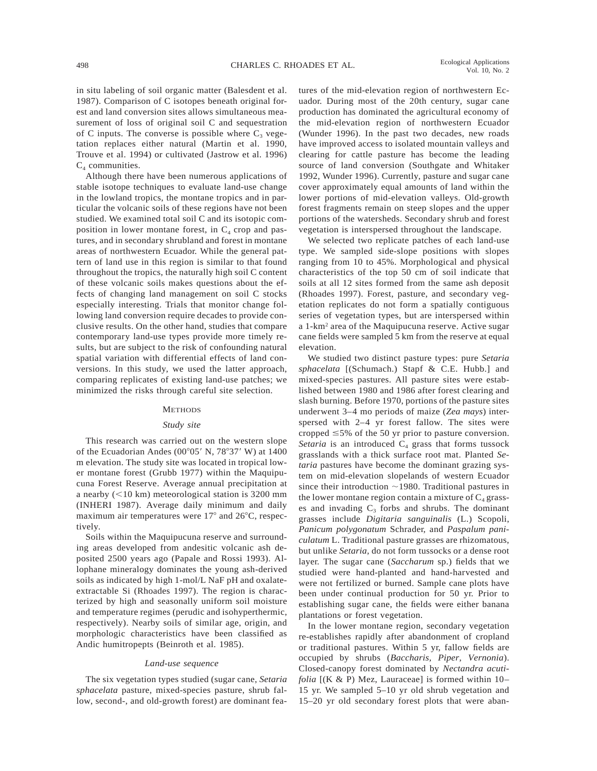in situ labeling of soil organic matter (Balesdent et al. 1987). Comparison of C isotopes beneath original forest and land conversion sites allows simultaneous measurement of loss of original soil C and sequestration of C inputs. The converse is possible where  $C_3$  vegetation replaces either natural (Martin et al. 1990, Trouve et al. 1994) or cultivated (Jastrow et al. 1996)  $C_4$  communities.

Although there have been numerous applications of stable isotope techniques to evaluate land-use change in the lowland tropics, the montane tropics and in particular the volcanic soils of these regions have not been studied. We examined total soil C and its isotopic composition in lower montane forest, in  $C_4$  crop and pastures, and in secondary shrubland and forest in montane areas of northwestern Ecuador. While the general pattern of land use in this region is similar to that found throughout the tropics, the naturally high soil C content of these volcanic soils makes questions about the effects of changing land management on soil C stocks especially interesting. Trials that monitor change following land conversion require decades to provide conclusive results. On the other hand, studies that compare contemporary land-use types provide more timely results, but are subject to the risk of confounding natural spatial variation with differential effects of land conversions. In this study, we used the latter approach, comparing replicates of existing land-use patches; we minimized the risks through careful site selection.

#### **METHODS**

#### *Study site*

This research was carried out on the western slope of the Ecuadorian Andes  $(00^{\circ}05' \text{ N}, 78^{\circ}37' \text{ W})$  at 1400 m elevation. The study site was located in tropical lower montane forest (Grubb 1977) within the Maquipucuna Forest Reserve. Average annual precipitation at a nearby  $(<10 \text{ km})$  meteorological station is 3200 mm (INHERI 1987). Average daily minimum and daily maximum air temperatures were  $17^{\circ}$  and  $26^{\circ}$ C, respectively.

Soils within the Maquipucuna reserve and surrounding areas developed from andesitic volcanic ash deposited 2500 years ago (Papale and Rossi 1993). Allophane mineralogy dominates the young ash-derived soils as indicated by high 1-mol/L NaF pH and oxalateextractable Si (Rhoades 1997). The region is characterized by high and seasonally uniform soil moisture and temperature regimes (perudic and isohyperthermic, respectively). Nearby soils of similar age, origin, and morphologic characteristics have been classified as Andic humitropepts (Beinroth et al. 1985).

# *Land-use sequence*

The six vegetation types studied (sugar cane, *Setaria sphacelata* pasture, mixed-species pasture, shrub fallow, second-, and old-growth forest) are dominant features of the mid-elevation region of northwestern Ecuador. During most of the 20th century, sugar cane production has dominated the agricultural economy of the mid-elevation region of northwestern Ecuador (Wunder 1996). In the past two decades, new roads have improved access to isolated mountain valleys and clearing for cattle pasture has become the leading source of land conversion (Southgate and Whitaker 1992, Wunder 1996). Currently, pasture and sugar cane cover approximately equal amounts of land within the lower portions of mid-elevation valleys. Old-growth forest fragments remain on steep slopes and the upper portions of the watersheds. Secondary shrub and forest vegetation is interspersed throughout the landscape.

We selected two replicate patches of each land-use type. We sampled side-slope positions with slopes ranging from 10 to 45%. Morphological and physical characteristics of the top 50 cm of soil indicate that soils at all 12 sites formed from the same ash deposit (Rhoades 1997). Forest, pasture, and secondary vegetation replicates do not form a spatially contiguous series of vegetation types, but are interspersed within a 1-km2 area of the Maquipucuna reserve. Active sugar cane fields were sampled 5 km from the reserve at equal elevation.

We studied two distinct pasture types: pure *Setaria sphacelata* [(Schumach.) Stapf & C.E. Hubb.] and mixed-species pastures. All pasture sites were established between 1980 and 1986 after forest clearing and slash burning. Before 1970, portions of the pasture sites underwent 3–4 mo periods of maize (*Zea mays*) interspersed with 2–4 yr forest fallow. The sites were cropped  $\leq$ 5% of the 50 yr prior to pasture conversion. *Setaria* is an introduced  $C_4$  grass that forms tussock grasslands with a thick surface root mat. Planted *Setaria* pastures have become the dominant grazing system on mid-elevation slopelands of western Ecuador since their introduction  $\sim$ 1980. Traditional pastures in the lower montane region contain a mixture of  $C_4$  grasses and invading  $C_3$  forbs and shrubs. The dominant grasses include *Digitaria sanguinalis* (L.) Scopoli, *Panicum polygonatum* Schrader, and *Paspalum paniculatum* L. Traditional pasture grasses are rhizomatous, but unlike *Setaria,* do not form tussocks or a dense root layer. The sugar cane (*Saccharum* sp.) fields that we studied were hand-planted and hand-harvested and were not fertilized or burned. Sample cane plots have been under continual production for 50 yr. Prior to establishing sugar cane, the fields were either banana plantations or forest vegetation.

In the lower montane region, secondary vegetation re-establishes rapidly after abandonment of cropland or traditional pastures. Within 5 yr, fallow fields are occupied by shrubs (*Baccharis, Piper, Vernonia*). Closed-canopy forest dominated by *Nectandra acutifolia* [(K & P) Mez, Lauraceae] is formed within 10– 15 yr. We sampled 5–10 yr old shrub vegetation and 15–20 yr old secondary forest plots that were aban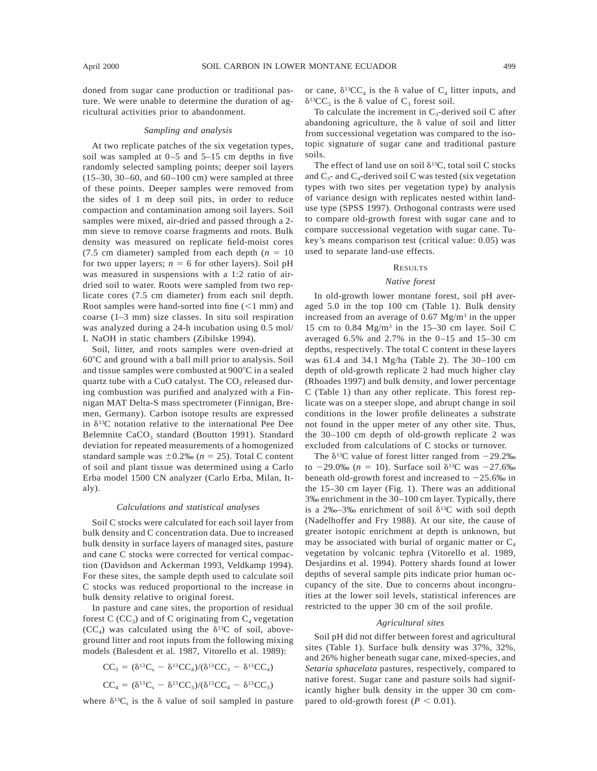doned from sugar cane production or traditional pasture. We were unable to determine the duration of agricultural activities prior to abandonment.

#### *Sampling and analysis*

At two replicate patches of the six vegetation types, soil was sampled at 0–5 and 5–15 cm depths in five randomly selected sampling points; deeper soil layers  $(15-30, 30-60, 30-60)$  and  $60-100$  cm) were sampled at three of these points. Deeper samples were removed from the sides of 1 m deep soil pits, in order to reduce compaction and contamination among soil layers. Soil samples were mixed, air-dried and passed through a 2 mm sieve to remove coarse fragments and roots. Bulk density was measured on replicate field-moist cores (7.5 cm diameter) sampled from each depth  $(n = 10)$ for two upper layers;  $n = 6$  for other layers). Soil pH was measured in suspensions with a 1:2 ratio of airdried soil to water. Roots were sampled from two replicate cores (7.5 cm diameter) from each soil depth. Root samples were hand-sorted into fine  $(<1$  mm) and coarse (1–3 mm) size classes. In situ soil respiration was analyzed during a 24-h incubation using 0.5 mol/ L NaOH in static chambers (Zibilske 1994).

Soil, litter, and roots samples were oven-dried at  $60^{\circ}$ C and ground with a ball mill prior to analysis. Soil and tissue samples were combusted at 900°C in a sealed quartz tube with a CuO catalyst. The  $CO<sub>2</sub>$  released during combustion was purified and analyzed with a Finnigan MAT Delta-S mass spectrometer (Finnigan, Bremen, Germany). Carbon isotope results are expressed in  $\delta^{13}$ C notation relative to the international Pee Dee Belemnite CaCO<sub>3</sub> standard (Boutton 1991). Standard deviation for repeated measurements of a homogenized standard sample was  $\pm 0.2$ ‰ ( $n = 25$ ). Total C content of soil and plant tissue was determined using a Carlo Erba model 1500 CN analyzer (Carlo Erba, Milan, Italy).

# *Calculations and statistical analyses*

Soil C stocks were calculated for each soil layer from bulk density and C concentration data. Due to increased bulk density in surface layers of managed sites, pasture and cane C stocks were corrected for vertical compaction (Davidson and Ackerman 1993, Veldkamp 1994). For these sites, the sample depth used to calculate soil C stocks was reduced proportional to the increase in bulk density relative to original forest.

In pasture and cane sites, the proportion of residual forest C (CC<sub>3</sub>) and of C originating from  $C_4$  vegetation  $(CC<sub>4</sub>)$  was calculated using the  $\delta^{13}C$  of soil, aboveground litter and root inputs from the following mixing models (Balesdent et al. 1987, Vitorello et al. 1989):

$$
CC_3 = (\delta^{13}C_s - \delta^{13}CC_4)/(\delta^{13}CC_3 - \delta^{13}CC_4)
$$
  
\n
$$
CC_4 = (\delta^{13}C_s - \delta^{13}CC_3)/(\delta^{13}CC_4 - \delta^{13}CC_3)
$$

where  $\delta^{13}C_s$  is the  $\delta$  value of soil sampled in pasture

or cane,  $\delta^{13}CC_4$  is the  $\delta$  value of  $C_4$  litter inputs, and  $\delta^{13}CC_3$  is the  $\delta$  value of C<sub>3</sub> forest soil.

To calculate the increment in  $C_3$ -derived soil C after abandoning agriculture, the  $\delta$  value of soil and litter from successional vegetation was compared to the isotopic signature of sugar cane and traditional pasture soils.

The effect of land use on soil  $\delta^{13}C$ , total soil C stocks and  $C_3$ - and  $C_4$ -derived soil C was tested (six vegetation types with two sites per vegetation type) by analysis of variance design with replicates nested within landuse type (SPSS 1997). Orthogonal contrasts were used to compare old-growth forest with sugar cane and to compare successional vegetation with sugar cane. Tukey's means comparison test (critical value: 0.05) was used to separate land-use effects.

# **RESULTS**

# *Native forest*

In old-growth lower montane forest, soil pH averaged 5.0 in the top 100 cm (Table 1). Bulk density increased from an average of 0.67 Mg/m3 in the upper 15 cm to  $0.84 \text{ Mg/m}^3$  in the 15–30 cm layer. Soil C averaged 6.5% and 2.7% in the 0–15 and 15–30 cm depths, respectively. The total C content in these layers was 61.4 and 34.1 Mg/ha (Table 2). The 30–100 cm depth of old-growth replicate 2 had much higher clay (Rhoades 1997) and bulk density, and lower percentage C (Table 1) than any other replicate. This forest replicate was on a steeper slope, and abrupt change in soil conditions in the lower profile delineates a substrate not found in the upper meter of any other site. Thus, the 30–100 cm depth of old-growth replicate 2 was excluded from calculations of C stocks or turnover.

The  $\delta^{13}$ C value of forest litter ranged from  $-29.2\%$ to  $-29.0\%$  (*n* = 10). Surface soil  $\delta^{13}$ C was  $-27.6\%$ beneath old-growth forest and increased to  $-25.6\%$  in the 15–30 cm layer (Fig. 1). There was an additional 3‰ enrichment in the 30–100 cm layer. Typically, there is a 2‰–3‰ enrichment of soil  $\delta^{13}C$  with soil depth (Nadelhoffer and Fry 1988). At our site, the cause of greater isotopic enrichment at depth is unknown, but may be associated with burial of organic matter or  $C_4$ vegetation by volcanic tephra (Vitorello et al. 1989, Desjardins et al. 1994). Pottery shards found at lower depths of several sample pits indicate prior human occupancy of the site. Due to concerns about incongruities at the lower soil levels, statistical inferences are restricted to the upper 30 cm of the soil profile.

# *Agricultural sites*

Soil pH did not differ between forest and agricultural sites (Table 1). Surface bulk density was 37%, 32%, and 26% higher beneath sugar cane, mixed-species, and *Setaria sphacelata* pastures, respectively, compared to native forest. Sugar cane and pasture soils had significantly higher bulk density in the upper 30 cm compared to old-growth forest  $(P < 0.01)$ .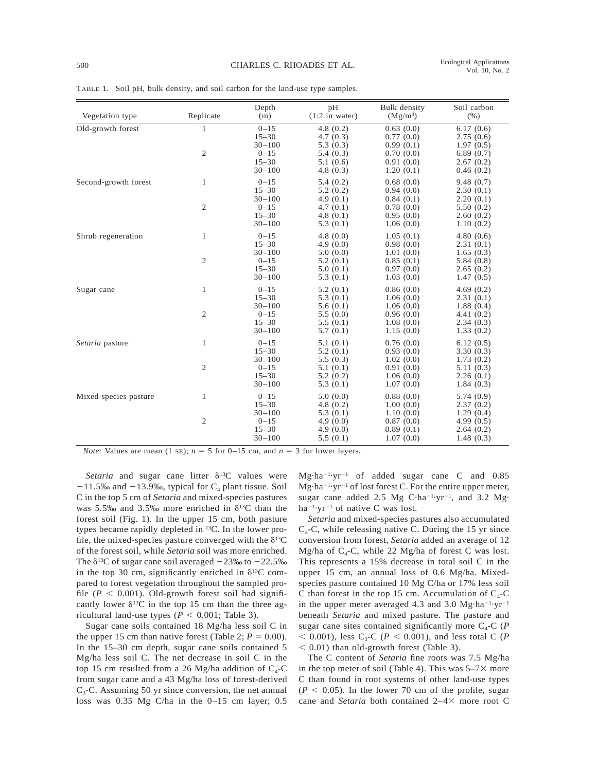| Vegetation type       | Replicate                      | Depth<br>(m)                                                               | pH<br>$(1:2$ in water)                                                     | Bulk density<br>$(Mg/m^3)$                                                 | Soil carbon<br>(% )                                                        |
|-----------------------|--------------------------------|----------------------------------------------------------------------------|----------------------------------------------------------------------------|----------------------------------------------------------------------------|----------------------------------------------------------------------------|
| Old-growth forest     | $\mathbf{1}$<br>$\mathfrak{2}$ | $0 - 15$<br>$15 - 30$<br>$30 - 100$<br>$0 - 15$<br>$15 - 30$<br>$30 - 100$ | 4.8(0.2)<br>4.7(0.3)<br>5.3(0.3)<br>5.4(0.3)<br>5.1(0.6)<br>4.8(0.3)       | 0.63(0.0)<br>0.77(0.0)<br>0.99(0.1)<br>0.70(0.0)<br>0.91(0.0)<br>1.20(0.1) | 6.17(0.6)<br>2.75(0.6)<br>1.97(0.5)<br>6.89(0.7)<br>2.67(0.2)<br>0.46(0.2) |
| Second-growth forest  | 1<br>$\mathfrak{2}$            | $0 - 15$<br>$15 - 30$<br>$30 - 100$<br>$0 - 15$<br>$15 - 30$<br>$30 - 100$ | 5.4(0.2)<br>5.2(0.2)<br>4.9(0.1)<br>4.7(0.1)<br>4.8(0.1)<br>5.3(0.1)       | 0.68(0.0)<br>0.94(0.0)<br>0.84(0.1)<br>0.78(0.0)<br>0.95(0.0)<br>1.06(0.0) | 9.48(0.7)<br>2.30(0.1)<br>2.20(0.1)<br>5.50(0.2)<br>2.60(0.2)<br>1.10(0.2) |
| Shrub regeneration    | $\mathbf{1}$<br>$\sqrt{2}$     | $0 - 15$<br>$15 - 30$<br>$30 - 100$<br>$0 - 15$<br>$15 - 30$<br>$30 - 100$ | 4.8(0.0)<br>4.9(0.0)<br>5.0(0.0)<br>5.2(0.1)<br>5.0(0.1)<br>5.3(0.1)       | 1.05(0.1)<br>0.98(0.0)<br>1.01(0.0)<br>0.85(0.1)<br>0.97(0.0)<br>1.03(0.0) | 4.80(0.6)<br>2.31(0.1)<br>1.65(0.3)<br>5.84(0.8)<br>2.65(0.2)<br>1.47(0.5) |
| Sugar cane            | $\mathbf{1}$<br>$\mathfrak{2}$ | $0 - 15$<br>$15 - 30$<br>$30 - 100$<br>$0 - 15$<br>$15 - 30$<br>$30 - 100$ | 5.2(0.1)<br>5.3(0.1)<br>5.6(0.1)<br>5.5(0.0)<br>5.5(0.1)<br>5.7(0.1)       | 0.86(0.0)<br>1.06(0.0)<br>1.06(0.0)<br>0.96(0.0)<br>1.08(0.0)<br>1.15(0.0) | 4.69(0.2)<br>2.31(0.1)<br>1.88(0.4)<br>4.41(0.2)<br>2.34(0.3)<br>1.33(0.2) |
| Setaria pasture       | $\mathbf{1}$<br>$\mathfrak{2}$ | $0 - 15$<br>$15 - 30$<br>$30 - 100$<br>$0 - 15$<br>$15 - 30$<br>$30 - 100$ | 5.1(0.1)<br>5.2(0.1)<br>5.5(0.3)<br>5.1(0.1)<br>5.2(0.2)<br>5.3(0.1)       | 0.76(0.0)<br>0.93(0.0)<br>1.02(0.0)<br>0.91(0.0)<br>1.06(0.0)<br>1.07(0.0) | 6.12(0.5)<br>3.30(0.3)<br>1.73(0.2)<br>5.11(0.3)<br>2.26(0.1)<br>1.84(0.3) |
| Mixed-species pasture | 1<br>$\mathfrak{2}$            | $0 - 15$<br>$15 - 30$<br>$30 - 100$<br>$0 - 15$<br>$15 - 30$<br>$30 - 100$ | 5.0(0.0)<br>4.8 $(0.2)$<br>5.3(0.1)<br>4.9 $(0.0)$<br>4.9(0.0)<br>5.5(0.1) | 0.88(0.0)<br>1.00(0.0)<br>1.10(0.0)<br>0.87(0.0)<br>0.89(0.1)<br>1.07(0.0) | 5.74(0.9)<br>2.37(0.2)<br>1.29(0.4)<br>4.99(0.5)<br>2.64(0.2)<br>1.48(0.3) |

TABLE 1. Soil pH, bulk density, and soil carbon for the land-use type samples.

*Note:* Values are mean (1 se);  $n = 5$  for 0–15 cm, and  $n = 3$  for lower layers.

*Setaria* and sugar cane litter  $\delta^{13}C$  values were  $-11.5\%$  and  $-13.9\%$ , typical for C<sub>4</sub> plant tissue. Soil C in the top 5 cm of *Setaria* and mixed-species pastures was 5.5‰ and 3.5‰ more enriched in  $\delta^{13}C$  than the forest soil (Fig. 1). In the upper 15 cm, both pasture types became rapidly depleted in 13C. In the lower profile, the mixed-species pasture converged with the  $\delta^{13}C$ of the forest soil, while *Setaria* soil was more enriched. The  $\delta^{13}$ C of sugar cane soil averaged  $-23\%$  to  $-22.5\%$ in the top 30 cm, significantly enriched in  $\delta^{13}C$  compared to forest vegetation throughout the sampled profile ( $P < 0.001$ ). Old-growth forest soil had significantly lower  $\delta^{13}$ C in the top 15 cm than the three agricultural land-use types  $(P < 0.001$ ; Table 3).

Sugar cane soils contained 18 Mg/ha less soil C in the upper 15 cm than native forest (Table 2;  $P = 0.00$ ). In the 15–30 cm depth, sugar cane soils contained 5 Mg/ha less soil C. The net decrease in soil C in the top 15 cm resulted from a 26 Mg/ha addition of  $C_4$ -C from sugar cane and a 43 Mg/ha loss of forest-derived  $C_3$ -C. Assuming 50 yr since conversion, the net annual loss was 0.35 Mg C/ha in the 0–15 cm layer; 0.5  $Mg \cdot ha^{-1} \cdot yr^{-1}$  of added sugar cane C and 0.85  $Mg \cdot ha^{-1} \cdot yr^{-1}$  of lost forest C. For the entire upper meter, sugar cane added 2.5 Mg  $C·ha^{-1}·yr^{-1}$ , and 3.2 Mg $\cdot$  $ha^{-1} \cdot yr^{-1}$  of native C was lost.

*Setaria* and mixed-species pastures also accumulated  $C_4$ -C, while releasing native C. During the 15 yr since conversion from forest, *Setaria* added an average of 12 Mg/ha of  $C_4$ -C, while 22 Mg/ha of forest C was lost. This represents a 15% decrease in total soil C in the upper 15 cm, an annual loss of 0.6 Mg/ha. Mixedspecies pasture contained 10 Mg C/ha or 17% less soil C than forest in the top 15 cm. Accumulation of  $C_4$ -C in the upper meter averaged 4.3 and 3.0  $Mg·ha^{-1}·yr^{-1}$ beneath *Setaria* and mixed pasture. The pasture and sugar cane sites contained significantly more  $C_4$ -C (*P*  $<$  0.001), less C<sub>3</sub>-C (*P*  $<$  0.001), and less total C (*P*  $< 0.01$ ) than old-growth forest (Table 3).

The C content of *Setaria* fine roots was 7.5 Mg/ha in the top meter of soil (Table 4). This was  $5-7\times$  more C than found in root systems of other land-use types  $(P < 0.05)$ . In the lower 70 cm of the profile, sugar cane and *Setaria* both contained 2-4× more root C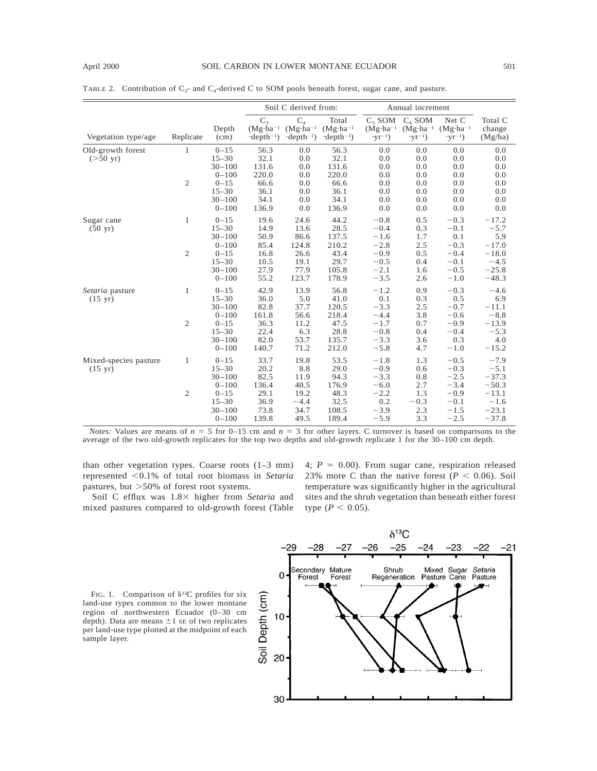|  |  |  |  |  | TABLE 2. Contribution of $C_3$ - and $C_4$ -derived C to SOM pools beneath forest, sugar cane, and pasture. |
|--|--|--|--|--|-------------------------------------------------------------------------------------------------------------|
|--|--|--|--|--|-------------------------------------------------------------------------------------------------------------|

|                                            |                                |                                                                                                      | Soil C derived from:                                            |                                                                  | Annual increment                                                 |                                                                              |                                                                 |                                                                              |                                                                                   |
|--------------------------------------------|--------------------------------|------------------------------------------------------------------------------------------------------|-----------------------------------------------------------------|------------------------------------------------------------------|------------------------------------------------------------------|------------------------------------------------------------------------------|-----------------------------------------------------------------|------------------------------------------------------------------------------|-----------------------------------------------------------------------------------|
| Vegetation type/age                        | Replicate                      | Depth<br>(cm)                                                                                        | $C_3$<br>$(Mg \cdot ha^{-1})$<br>$\cdot$ depth <sup>-1</sup> )  | $C_{4}$<br>$(Mg \cdot ha^{-1})$<br>$\cdot$ depth <sup>-1</sup> ) | Total<br>$(Mg \cdot ha^{-1})$<br>$\cdot$ depth <sup>-1</sup> )   | $C3$ SOM<br>$(Mg \cdot ha^{-1})$<br>$\cdot yr^{-1}$ )                        | $C_4$ SOM<br>$(Mg \cdot ha^{-1})$<br>$\cdot$ yr <sup>-1</sup> ) | Net C<br>$(Mg \cdot ha^{-1})$<br>$\cdot$ yr <sup>-1</sup> )                  | Total C<br>change<br>(Mg/ha)                                                      |
| Old-growth forest<br>$(>50 \text{ yr})$    | $\mathbf{1}$<br>$\overline{c}$ | $0 - 15$<br>$15 - 30$<br>$30 - 100$<br>$0 - 100$<br>$0 - 15$<br>$15 - 30$<br>$30 - 100$<br>$0 - 100$ | 56.3<br>32.1<br>131.6<br>220.0<br>66.6<br>36.1<br>34.1<br>136.9 | 0.0<br>0.0<br>0.0<br>0.0<br>0.0<br>0.0<br>0.0<br>0.0             | 56.3<br>32.1<br>131.6<br>220.0<br>66.6<br>36.1<br>34.1<br>136.9  | 0.0<br>0.0<br>0.0<br>0.0<br>0.0<br>0.0<br>0.0<br>0.0                         | 0.0<br>0.0<br>0.0<br>0.0<br>0.0<br>0.0<br>0.0<br>0.0            | 0.0<br>0.0<br>0.0<br>0.0<br>0.0<br>0.0<br>0.0<br>0.0                         | 0.0<br>0.0<br>0.0<br>0.0<br>0.0<br>0.0<br>0.0<br>0.0                              |
| Sugar cane<br>$(50 \text{ yr})$            | 1<br>$\overline{c}$            | $0 - 15$<br>$15 - 30$<br>$30 - 100$<br>$0 - 100$<br>$0 - 15$<br>$15 - 30$<br>$30 - 100$<br>$0 - 100$ | 19.6<br>14.9<br>50.9<br>85.4<br>16.8<br>10.5<br>27.9<br>55.2    | 24.6<br>13.6<br>86.6<br>124.8<br>26.6<br>19.1<br>77.9<br>123.7   | 44.2<br>28.5<br>137.5<br>210.2<br>43.4<br>29.7<br>105.8<br>178.9 | $-0.8$<br>$-0.4$<br>$-1.6$<br>$-2.8$<br>$-0.9$<br>$-0.5$<br>$-2.1$<br>$-3.5$ | 0.5<br>0.3<br>1.7<br>2.5<br>0.5<br>0.4<br>1.6<br>2.6            | $-0.3$<br>$-0.1$<br>0.1<br>$-0.3$<br>$-0.4$<br>$-0.1$<br>$-0.5$<br>$-1.0$    | $-17.2$<br>$-5.7$<br>5.9<br>$-17.0$<br>$-18.0$<br>$-4.5$<br>$-25.8$<br>$-48.3$    |
| Setaria pasture<br>$(15 \text{ yr})$       | 1<br>$\overline{c}$            | $0 - 15$<br>$15 - 30$<br>$30 - 100$<br>$0 - 100$<br>$0 - 15$<br>$15 - 30$<br>$30 - 100$<br>$0 - 100$ | 42.9<br>36.0<br>82.8<br>161.8<br>36.3<br>22.4<br>82.0<br>140.7  | 13.9<br>5.0<br>37.7<br>56.6<br>11.2<br>6.3<br>53.7<br>71.2       | 56.8<br>41.0<br>120.5<br>218.4<br>47.5<br>28.8<br>135.7<br>212.0 | $-1.2$<br>0.1<br>$-3.3$<br>$-4.4$<br>$-1.7$<br>$-0.8$<br>$-3.3$<br>$-5.8$    | 0.9<br>0.3<br>2.5<br>3.8<br>0.7<br>0.4<br>3.6<br>4.7            | $-0.3$<br>0.5<br>$-0.7$<br>$-0.6$<br>$-0.9$<br>$-0.4$<br>0.3<br>$-1.0$       | $-4.6$<br>6.9<br>$-11.1$<br>$-8.8$<br>$-13.9$<br>$-5.3$<br>4.0<br>$-15.2$         |
| Mixed-species pasture<br>$(15 \text{ yr})$ | 1<br>$\mathfrak{2}$            | $0 - 15$<br>$15 - 30$<br>$30 - 100$<br>$0 - 100$<br>$0 - 15$<br>$15 - 30$<br>$30 - 100$<br>$0 - 100$ | 33.7<br>20.2<br>82.5<br>136.4<br>29.1<br>36.9<br>73.8<br>139.8  | 19.8<br>8.8<br>11.9<br>40.5<br>19.2<br>$-4.4$<br>34.7<br>49.5    | 53.5<br>29.0<br>94.3<br>176.9<br>48.3<br>32.5<br>108.5<br>189.4  | $-1.8$<br>$-0.9$<br>$-3.3$<br>$-6.0$<br>$-2.2$<br>0.2<br>$-3.9$<br>$-5.9$    | 1.3<br>0.6<br>0.8<br>2.7<br>1.3<br>$-0.3$<br>2.3<br>3.3         | $-0.5$<br>$-0.3$<br>$-2.5$<br>$-3.4$<br>$-0.9$<br>$-0.1$<br>$-1.5$<br>$-2.5$ | $-7.9$<br>$-5.1$<br>$-37.3$<br>$-50.3$<br>$-13.1$<br>$-1.6$<br>$-23.1$<br>$-37.8$ |

*Notes:* Values are means of  $n = 5$  for 0–15 cm and  $n = 3$  for other layers. C turnover is based on comparisons to the average of the two old-growth replicates for the top two depths and old-growth replicate 1 for the 30–100 cm depth.

than other vegetation types. Coarse roots (1–3 mm) represented ,0.1% of total root biomass in *Setaria* pastures, but  $>50\%$  of forest root systems.

Soil C efflux was  $1.8\times$  higher from *Setaria* and mixed pastures compared to old-growth forest (Table 4;  $P = 0.00$ ). From sugar cane, respiration released 23% more C than the native forest  $(P < 0.06)$ . Soil temperature was significantly higher in the agricultural sites and the shrub vegetation than beneath either forest type ( $P < 0.05$ ).

FIG. 1. Comparison of  $\delta^{13}$ C profiles for six land-use types common to the lower montane region of northwestern Ecuador (0–30 cm depth). Data are means  $\pm 1$  SE of two replicates per land-use type plotted at the midpoint of each sample layer.

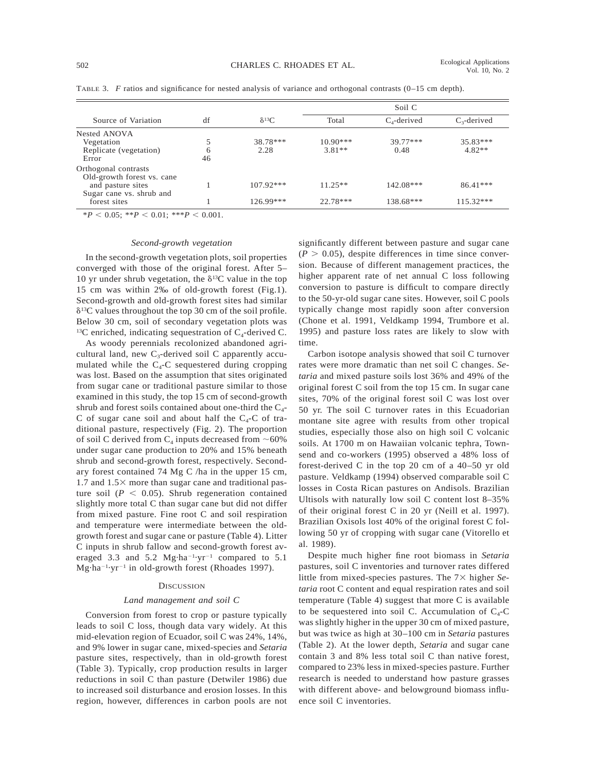|                                                                         |         |                  | Soil C                 |                    |                      |
|-------------------------------------------------------------------------|---------|------------------|------------------------|--------------------|----------------------|
| Source of Variation                                                     | df      | $\delta^{13}C$   | Total                  | $C_4$ -derived     | $C_3$ -derived       |
| Nested ANOVA<br>Vegetation<br>Replicate (vegetation)<br>Error           | 6<br>46 | 38.78***<br>2.28 | $10.90***$<br>$3.81**$ | $39.77***$<br>0.48 | 35.83***<br>$4.82**$ |
| Orthogonal contrasts<br>Old-growth forest vs. cane<br>and pasture sites |         | $107.92***$      | $11.25**$              | $142.08***$        | $86.41***$           |
| Sugar cane vs. shrub and<br>forest sites                                |         | $126.99***$      | $22.78***$             | 138.68***          | $115.32***$          |

TABLE 3. *F* ratios and significance for nested analysis of variance and orthogonal contrasts (0–15 cm depth).

 $*P < 0.05$ ;  $*P < 0.01$ ;  $**P < 0.001$ .

#### *Second-growth vegetation*

In the second-growth vegetation plots, soil properties converged with those of the original forest. After 5– 10 yr under shrub vegetation, the  $\delta^{13}$ C value in the top 15 cm was within 2‰ of old-growth forest (Fig.1). Second-growth and old-growth forest sites had similar  $\delta$ <sup>13</sup>C values throughout the top 30 cm of the soil profile. Below 30 cm, soil of secondary vegetation plots was <sup>13</sup>C enriched, indicating sequestration of  $C_4$ -derived C.

As woody perennials recolonized abandoned agricultural land, new  $C_3$ -derived soil C apparently accumulated while the  $C_4$ -C sequestered during cropping was lost. Based on the assumption that sites originated from sugar cane or traditional pasture similar to those examined in this study, the top 15 cm of second-growth shrub and forest soils contained about one-third the  $C_4$ -C of sugar cane soil and about half the  $C_4$ -C of traditional pasture, respectively (Fig. 2). The proportion of soil C derived from  $C_4$  inputs decreased from  $~60\%$ under sugar cane production to 20% and 15% beneath shrub and second-growth forest, respectively. Secondary forest contained 74 Mg C /ha in the upper 15 cm, 1.7 and  $1.5\times$  more than sugar cane and traditional pasture soil ( $P < 0.05$ ). Shrub regeneration contained slightly more total C than sugar cane but did not differ from mixed pasture. Fine root C and soil respiration and temperature were intermediate between the oldgrowth forest and sugar cane or pasture (Table 4). Litter C inputs in shrub fallow and second-growth forest averaged 3.3 and 5.2  $Mg \cdot ha^{-1} \cdot yr^{-1}$  compared to 5.1 Mg·ha<sup>-1</sup>·yr<sup>-1</sup> in old-growth forest (Rhoades 1997).

# **DISCUSSION**

### *Land management and soil C*

Conversion from forest to crop or pasture typically leads to soil C loss, though data vary widely. At this mid-elevation region of Ecuador, soil C was 24%, 14%, and 9% lower in sugar cane, mixed-species and *Setaria* pasture sites, respectively, than in old-growth forest (Table 3). Typically, crop production results in larger reductions in soil C than pasture (Detwiler 1986) due to increased soil disturbance and erosion losses. In this region, however, differences in carbon pools are not

significantly different between pasture and sugar cane  $(P > 0.05)$ , despite differences in time since conversion. Because of different management practices, the higher apparent rate of net annual C loss following conversion to pasture is difficult to compare directly to the 50-yr-old sugar cane sites. However, soil C pools typically change most rapidly soon after conversion (Chone et al. 1991, Veldkamp 1994, Trumbore et al. 1995) and pasture loss rates are likely to slow with time.

Carbon isotope analysis showed that soil C turnover rates were more dramatic than net soil C changes. *Setaria* and mixed pasture soils lost 36% and 49% of the original forest C soil from the top 15 cm. In sugar cane sites, 70% of the original forest soil C was lost over 50 yr. The soil C turnover rates in this Ecuadorian montane site agree with results from other tropical studies, especially those also on high soil C volcanic soils. At 1700 m on Hawaiian volcanic tephra, Townsend and co-workers (1995) observed a 48% loss of forest-derived C in the top 20 cm of a 40–50 yr old pasture. Veldkamp (1994) observed comparable soil C losses in Costa Rican pastures on Andisols. Brazilian Ultisols with naturally low soil C content lost 8–35% of their original forest C in 20 yr (Neill et al. 1997). Brazilian Oxisols lost 40% of the original forest C following 50 yr of cropping with sugar cane (Vitorello et al. 1989).

Despite much higher fine root biomass in *Setaria* pastures, soil C inventories and turnover rates differed little from mixed-species pastures. The 7× higher *Setaria* root C content and equal respiration rates and soil temperature (Table 4) suggest that more C is available to be sequestered into soil C. Accumulation of  $C_4$ -C was slightly higher in the upper 30 cm of mixed pasture, but was twice as high at 30–100 cm in *Setaria* pastures (Table 2). At the lower depth, *Setaria* and sugar cane contain 3 and 8% less total soil C than native forest, compared to 23% less in mixed-species pasture. Further research is needed to understand how pasture grasses with different above- and belowground biomass influence soil C inventories.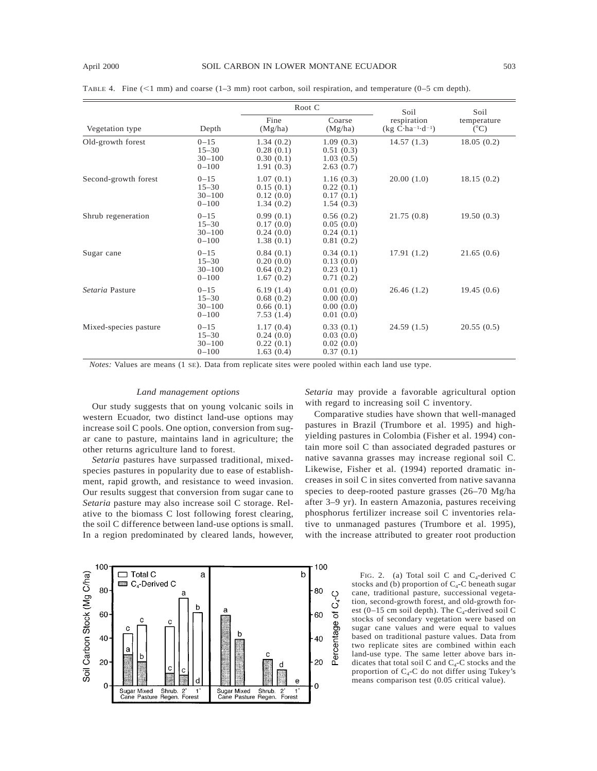100

80

60

40

20

0

Soil Carbon Stock (Mg C/ha)

|                       |                                                  |                                                  | Root C                                           | Soil                             | Soil                         |  |
|-----------------------|--------------------------------------------------|--------------------------------------------------|--------------------------------------------------|----------------------------------|------------------------------|--|
| Vegetation type       | Depth                                            | Fine<br>(Mg/ha)                                  | Coarse<br>(Mg/ha)                                | respiration<br>$(kg C·ha-1·d-1)$ | temperature<br>$(^{\circ}C)$ |  |
| Old-growth forest     | $0 - 15$<br>$15 - 30$<br>$30 - 100$<br>$0 - 100$ | 1.34(0.2)<br>0.28(0.1)<br>0.30(0.1)<br>1.91(0.3) | 1.09(0.3)<br>0.51(0.3)<br>1.03(0.5)<br>2.63(0.7) | 14.57(1.3)                       | 18.05(0.2)                   |  |
| Second-growth forest  | $0 - 15$<br>$15 - 30$<br>$30 - 100$<br>$0 - 100$ | 1.07(0.1)<br>0.15(0.1)<br>0.12(0.0)<br>1.34(0.2) | 1.16(0.3)<br>0.22(0.1)<br>0.17(0.1)<br>1.54(0.3) | 20.00(1.0)                       | 18.15(0.2)                   |  |
| Shrub regeneration    | $0 - 15$<br>$15 - 30$<br>$30 - 100$<br>$0 - 100$ | 0.99(0.1)<br>0.17(0.0)<br>0.24(0.0)<br>1.38(0.1) | 0.56(0.2)<br>0.05(0.0)<br>0.24(0.1)<br>0.81(0.2) | 21.75(0.8)                       | 19.50(0.3)                   |  |
| Sugar cane            | $0 - 15$<br>$15 - 30$<br>$30 - 100$<br>$0 - 100$ | 0.84(0.1)<br>0.20(0.0)<br>0.64(0.2)<br>1.67(0.2) | 0.34(0.1)<br>0.13(0.0)<br>0.23(0.1)<br>0.71(0.2) | 17.91(1.2)                       | 21.65(0.6)                   |  |
| Setaria Pasture       | $0 - 15$<br>$15 - 30$<br>$30 - 100$<br>$0 - 100$ | 6.19(1.4)<br>0.68(0.2)<br>0.66(0.1)<br>7.53(1.4) | 0.01(0.0)<br>0.00(0.0)<br>0.00(0.0)<br>0.01(0.0) | 26.46(1.2)                       | 19.45(0.6)                   |  |
| Mixed-species pasture | $0 - 15$<br>$15 - 30$<br>$30 - 100$<br>$0 - 100$ | 1.17(0.4)<br>0.24(0.0)<br>0.22(0.1)<br>1.63(0.4) | 0.33(0.1)<br>0.03(0.0)<br>0.02(0.0)<br>0.37(0.1) | 24.59(1.5)                       | 20.55(0.5)                   |  |

TABLE 4. Fine  $(\leq1$  mm) and coarse  $(1-3$  mm) root carbon, soil respiration, and temperature  $(0-5$  cm depth).

*Notes:* Values are means (1 SE). Data from replicate sites were pooled within each land use type.

### *Land management options*

Our study suggests that on young volcanic soils in western Ecuador, two distinct land-use options may increase soil C pools. One option, conversion from sugar cane to pasture, maintains land in agriculture; the other returns agriculture land to forest.

*Setaria* pastures have surpassed traditional, mixedspecies pastures in popularity due to ease of establishment, rapid growth, and resistance to weed invasion. Our results suggest that conversion from sugar cane to *Setaria* pasture may also increase soil C storage. Relative to the biomass C lost following forest clearing, the soil C difference between land-use options is small. In a region predominated by cleared lands, however, *Setaria* may provide a favorable agricultural option with regard to increasing soil C inventory.

Comparative studies have shown that well-managed pastures in Brazil (Trumbore et al. 1995) and highyielding pastures in Colombia (Fisher et al. 1994) contain more soil C than associated degraded pastures or native savanna grasses may increase regional soil C. Likewise, Fisher et al. (1994) reported dramatic increases in soil C in sites converted from native savanna species to deep-rooted pasture grasses (26–70 Mg/ha after 3–9 yr). In eastern Amazonia, pastures receiving phosphorus fertilizer increase soil C inventories relative to unmanaged pastures (Trumbore et al. 1995), with the increase attributed to greater root production



FIG. 2. (a) Total soil C and  $C_4$ -derived C stocks and (b) proportion of  $C_4$ -C beneath sugar cane, traditional pasture, successional vegetation, second-growth forest, and old-growth forest (0–15 cm soil depth). The  $C_4$ -derived soil C stocks of secondary vegetation were based on sugar cane values and were equal to values based on traditional pasture values. Data from two replicate sites are combined within each land-use type. The same letter above bars indicates that total soil C and  $C_4$ -C stocks and the proportion of  $C_4$ -C do not differ using Tukey's means comparison test (0.05 critical value).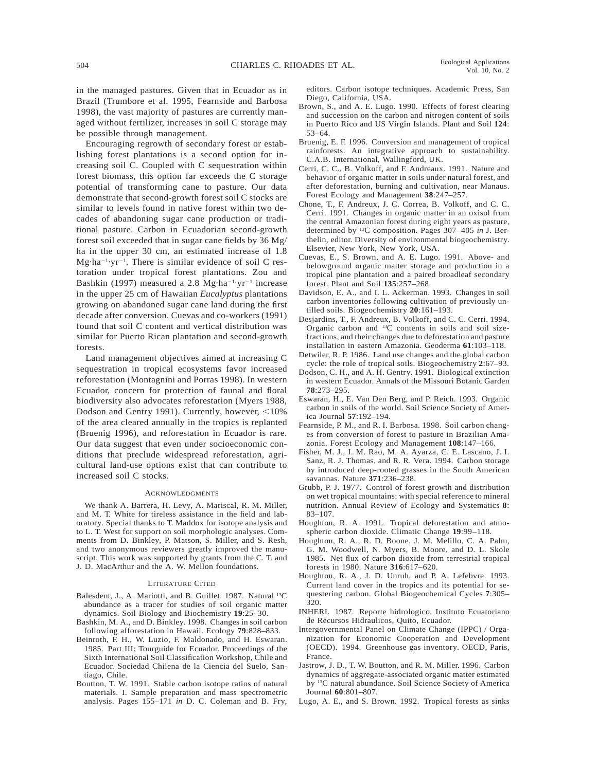in the managed pastures. Given that in Ecuador as in Brazil (Trumbore et al. 1995, Fearnside and Barbosa 1998), the vast majority of pastures are currently managed without fertilizer, increases in soil C storage may be possible through management.

Encouraging regrowth of secondary forest or establishing forest plantations is a second option for increasing soil C. Coupled with C sequestration within forest biomass, this option far exceeds the C storage potential of transforming cane to pasture. Our data demonstrate that second-growth forest soil C stocks are similar to levels found in native forest within two decades of abandoning sugar cane production or traditional pasture. Carbon in Ecuadorian second-growth forest soil exceeded that in sugar cane fields by 36 Mg/ ha in the upper 30 cm, an estimated increase of 1.8  $Mg·ha^{-1}·yr^{-1}$ . There is similar evidence of soil C restoration under tropical forest plantations. Zou and Bashkin (1997) measured a 2.8 Mg·ha<sup>-1</sup>·yr<sup>-1</sup> increase in the upper 25 cm of Hawaiian *Eucalyptus* plantations growing on abandoned sugar cane land during the first decade after conversion. Cuevas and co-workers (1991) found that soil C content and vertical distribution was similar for Puerto Rican plantation and second-growth forests.

Land management objectives aimed at increasing C sequestration in tropical ecosystems favor increased reforestation (Montagnini and Porras 1998). In western Ecuador, concern for protection of faunal and floral biodiversity also advocates reforestation (Myers 1988, Dodson and Gentry 1991). Currently, however, <10% of the area cleared annually in the tropics is replanted (Bruenig 1996), and reforestation in Ecuador is rare. Our data suggest that even under socioeconomic conditions that preclude widespread reforestation, agricultural land-use options exist that can contribute to increased soil C stocks.

#### **ACKNOWLEDGMENTS**

We thank A. Barrera, H. Levy, A. Mariscal, R. M. Miller, and M. T. White for tireless assistance in the field and laboratory. Special thanks to T. Maddox for isotope analysis and to L. T. West for support on soil morphologic analyses. Comments from D. Binkley, P. Matson, S. Miller, and S. Resh, and two anonymous reviewers greatly improved the manuscript. This work was supported by grants from the C. T. and J. D. MacArthur and the A. W. Mellon foundations.

#### LITERATURE CITED

- Balesdent, J., A. Mariotti, and B. Guillet. 1987. Natural <sup>13</sup>C abundance as a tracer for studies of soil organic matter dynamics. Soil Biology and Biochemistry **19**:25–30.
- Bashkin, M. A., and D. Binkley. 1998. Changes in soil carbon following afforestation in Hawaii. Ecology **79**:828–833.
- Beinroth, F. H., W. Luzio, F. Maldonado, and H. Eswaran. 1985. Part III: Tourguide for Ecuador. Proceedings of the Sixth International Soil Classification Workshop, Chile and Ecuador. Sociedad Chilena de la Ciencia del Suelo, Santiago, Chile.
- Boutton, T. W. 1991. Stable carbon isotope ratios of natural materials. I. Sample preparation and mass spectrometric analysis. Pages 155–171 *in* D. C. Coleman and B. Fry,

editors. Carbon isotope techniques. Academic Press, San Diego, California, USA.

- Brown, S., and A. E. Lugo. 1990. Effects of forest clearing and succession on the carbon and nitrogen content of soils in Puerto Rico and US Virgin Islands. Plant and Soil **124**: 53–64.
- Bruenig, E. F. 1996. Conversion and management of tropical rainforests. An integrative approach to sustainability. C.A.B. International, Wallingford, UK.
- Cerri, C. C., B. Volkoff, and F. Andreaux. 1991. Nature and behavior of organic matter in soils under natural forest, and after deforestation, burning and cultivation, near Manaus. Forest Ecology and Management **38**:247–257.
- Chone, T., F. Andreux, J. C. Correa, B. Volkoff, and C. C. Cerri. 1991. Changes in organic matter in an oxisol from the central Amazonian forest during eight years as pasture, determined by 13C composition. Pages 307–405 *in* J. Berthelin, editor. Diversity of environmental biogeochemistry. Elsevier, New York, New York, USA.
- Cuevas, E., S. Brown, and A. E. Lugo. 1991. Above- and belowground organic matter storage and production in a tropical pine plantation and a paired broadleaf secondary forest. Plant and Soil **135**:257–268.
- Davidson, E. A., and I. L. Ackerman. 1993. Changes in soil carbon inventories following cultivation of previously untilled soils. Biogeochemistry **20**:161–193.
- Desjardins, T., F. Andreux, B. Volkoff, and C. C. Cerri. 1994. Organic carbon and 13C contents in soils and soil sizefractions, and their changes due to deforestation and pasture installation in eastern Amazonia. Geoderma **61**:103–118.
- Detwiler, R. P. 1986. Land use changes and the global carbon cycle: the role of tropical soils. Biogeochemistry **2**:67–93.
- Dodson, C. H., and A. H. Gentry. 1991. Biological extinction in western Ecuador. Annals of the Missouri Botanic Garden **78**:273–295.
- Eswaran, H., E. Van Den Berg, and P. Reich. 1993. Organic carbon in soils of the world. Soil Science Society of America Journal **57**:192–194.
- Fearnside, P. M., and R. I. Barbosa. 1998. Soil carbon changes from conversion of forest to pasture in Brazilian Amazonia. Forest Ecology and Management **108**:147–166.
- Fisher, M. J., I. M. Rao, M. A. Ayarza, C. E. Lascano, J. I. Sanz, R. J. Thomas, and R. R. Vera. 1994. Carbon storage by introduced deep-rooted grasses in the South American savannas. Nature **371**:236–238.
- Grubb, P. J. 1977. Control of forest growth and distribution on wet tropical mountains: with special reference to mineral nutrition. Annual Review of Ecology and Systematics **8**: 83–107.
- Houghton, R. A. 1991. Tropical deforestation and atmospheric carbon dioxide. Climatic Change **19**:99–118.
- Houghton, R. A., R. D. Boone, J. M. Melillo, C. A. Palm, G. M. Woodwell, N. Myers, B. Moore, and D. L. Skole 1985. Net flux of carbon dioxide from terrestrial tropical forests in 1980. Nature **316**:617–620.
- Houghton, R. A., J. D. Unruh, and P. A. Lefebvre. 1993. Current land cover in the tropics and its potential for sequestering carbon. Global Biogeochemical Cycles **7**:305– 320.
- INHERI. 1987. Reporte hidrologico. Instituto Ecuatoriano de Recursos Hidraulicos, Quito, Ecuador.
- Intergovernmental Panel on Climate Change (IPPC) / Organization for Economic Cooperation and Development (OECD). 1994. Greenhouse gas inventory. OECD, Paris, France.
- Jastrow, J. D., T. W. Boutton, and R. M. Miller. 1996. Carbon dynamics of aggregate-associated organic matter estimated by 13C natural abundance. Soil Science Society of America Journal **60**:801–807.
- Lugo, A. E., and S. Brown. 1992. Tropical forests as sinks